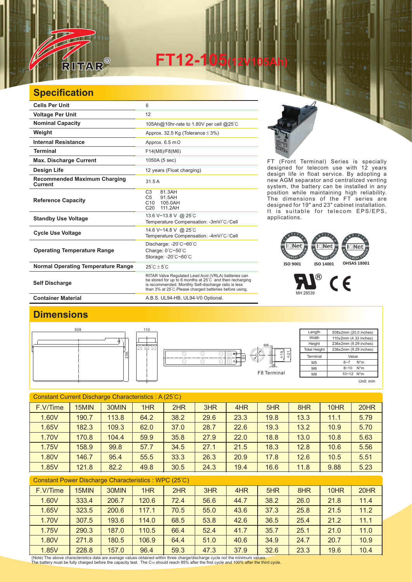

**FT12-105(12V105Ah)** 

## **Specification**

| <b>Cells Per Unit</b>                                 | 6                                                                                                                                                                                                                                             |
|-------------------------------------------------------|-----------------------------------------------------------------------------------------------------------------------------------------------------------------------------------------------------------------------------------------------|
| <b>Voltage Per Unit</b>                               | 12                                                                                                                                                                                                                                            |
| <b>Nominal Capacity</b>                               | 105Ah@10hr-rate to 1.80V per cell @25°C                                                                                                                                                                                                       |
| Weight                                                | Approx. 32.5 Kg (Tolerance $\pm$ 3%)                                                                                                                                                                                                          |
| <b>Internal Resistance</b>                            | Approx. $6.5 \text{ m}\Omega$                                                                                                                                                                                                                 |
| <b>Terminal</b>                                       | F14(M8)/F8(M6)                                                                                                                                                                                                                                |
| <b>Max. Discharge Current</b>                         | 1050A (5 sec)                                                                                                                                                                                                                                 |
| Design Life                                           | 12 years (Float charging)                                                                                                                                                                                                                     |
| <b>Recommended Maximum Charging</b><br><b>Current</b> | 31.5A                                                                                                                                                                                                                                         |
| <b>Reference Capacity</b>                             | C <sub>3</sub><br>81.3AH<br>C <sub>5</sub><br>91.5AH<br>C10<br>105.0AH<br>C <sub>20</sub><br>111.2AH                                                                                                                                          |
| <b>Standby Use Voltage</b>                            | 13.6 V~13.8 V @ 25°C<br>Temperature Compensation: -3mV/°C/Cell                                                                                                                                                                                |
| <b>Cycle Use Voltage</b>                              | 14.6 V~14.8 V @ 25°C<br>Temperature Compensation: -4mV/°C/Cell                                                                                                                                                                                |
| <b>Operating Temperature Range</b>                    | Discharge: $-20^{\circ}$ C $-60^{\circ}$ C<br>Charge: $0^{\circ}$ C $\sim$ 50 $^{\circ}$ C<br>Storage: -20°C~60°C                                                                                                                             |
| <b>Normal Operating Temperature Range</b>             | $25^{\circ}$ C + 5 $^{\circ}$ C                                                                                                                                                                                                               |
| <b>Self Discharge</b>                                 | RITAR Valve Regulated Lead Acid (VRLA) batteries can<br>be stored for up to 6 months at $25^{\circ}$ C and then recharging<br>is recommended. Monthly Self-discharge ratio is less<br>than 3% at 25°C. Please charged batteries before using. |
| <b>Container Material</b>                             | A.B.S. UL94-HB, UL94-V0 Optional.                                                                                                                                                                                                             |



FT (Front Terminal) Series is specially designed for telecom use with 12 years design life in float service. By adopting a new AGM separator and centralized venting system, the battery can be installed in any position while maintaining high reliability. The dimensions of the FT series are designed for 19" and 23" cabinet installation. It is suitable for telecom EPS/EPS, applications.

## **ISO 9001 ISO 14001 OHSAS 18001**



## **Dimensions**





| Length              | 508±2mm (20.0 inches) |  |  |  |  |  |
|---------------------|-----------------------|--|--|--|--|--|
| Width               | 110±2mm (4.33 inches) |  |  |  |  |  |
| Height              | 236±2mm (9.29 inches) |  |  |  |  |  |
| <b>Total Height</b> | 236±2mm (9.29 inches) |  |  |  |  |  |
| Terminal            | Value                 |  |  |  |  |  |
| M5                  | $N^*m$<br>$6 - 7$     |  |  |  |  |  |
| M <sub>6</sub>      | $N^*m$<br>$8 - 10$    |  |  |  |  |  |
| M <sub>8</sub>      | 10~12 N*m             |  |  |  |  |  |
|                     | Unit: mm              |  |  |  |  |  |

| Constant Current Discharge Characteristics: A (25°C) |       |       |      |      |      |      |      |      |      |      |
|------------------------------------------------------|-------|-------|------|------|------|------|------|------|------|------|
| F.V/Time                                             | 15MIN | 30MIN | 1HR  | 2HR  | 3HR  | 4HR  | 5HR  | 8HR  | 10HR | 20HR |
| 1.60V                                                | 190.7 | 113.8 | 64.2 | 38.2 | 29.6 | 23.3 | 19.8 | 13.3 | 11.1 | 5.79 |
| 1.65V                                                | 182.3 | 109.3 | 62.0 | 37.0 | 28.7 | 22.6 | 19.3 | 13.2 | 10.9 | 5.70 |
| 1.70V                                                | 170.8 | 104.4 | 59.9 | 35.8 | 27.9 | 22.0 | 18.8 | 13.0 | 10.8 | 5.63 |
| 1.75V                                                | 158.9 | 99.8  | 57.7 | 34.5 | 27.1 | 21.5 | 18.3 | 12.8 | 10.6 | 5.56 |
| 1.80V                                                | 146.7 | 95.4  | 55.5 | 33.3 | 26.3 | 20.9 | 17.8 | 12.6 | 10.5 | 5.51 |
| 1.85V                                                | 121.8 | 82.2  | 49.8 | 30.5 | 24.3 | 19.4 | 16.6 | 11.8 | 9.88 | 5.23 |
|                                                      |       |       |      |      |      |      |      |      |      |      |

| Constant Power Discharge Characteristics : WPC (25°C) |  |
|-------------------------------------------------------|--|
|-------------------------------------------------------|--|

| F.V/Time | 15MIN | 30MIN | 1HR   | 2HR  | 3HR  | 4HR  | 5HR  | 8HR  | 10HR | 20HR |
|----------|-------|-------|-------|------|------|------|------|------|------|------|
| 1.60V    | 333.4 | 206.7 | 120.6 | 72.4 | 56.6 | 44.7 | 38.2 | 26.0 | 21.8 | 11.4 |
| 1.65V    | 323.5 | 200.6 | 117.1 | 70.5 | 55.0 | 43.6 | 37.3 | 25.8 | 21.5 | 11.2 |
| 1.70V    | 307.5 | 193.6 | 114.0 | 68.5 | 53.8 | 42.6 | 36.5 | 25.4 | 21.2 | 11.1 |
| 1.75V    | 290.3 | 187.0 | 110.5 | 66.4 | 52.4 | 41.7 | 35.7 | 25.1 | 21.0 | 11.0 |
| 1.80V    | 271.8 | 180.5 | 106.9 | 64.4 | 51.0 | 40.6 | 34.9 | 24.7 | 20.7 | 10.9 |
| 1.85V    | 228.8 | 157.0 | 96.4  | 59.3 | 47.3 | 37.9 | 32.6 | 23.3 | 19.6 | 10.4 |

(Note) The above characteristics data are average values obtained within three charge/discharge cycle not the minimum values.<br>The battery must be fully charged before the capacity test. The Cю should reach 95% after the f